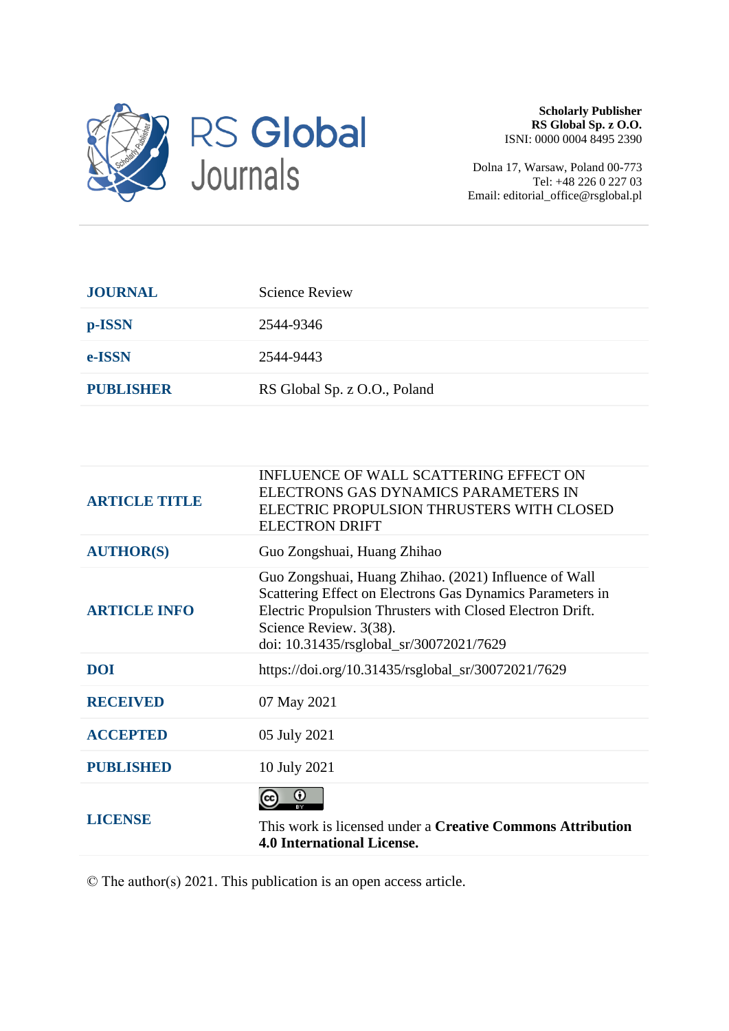

**Scholarly Publisher RS Global Sp. z O.O.** ISNI: 0000 0004 8495 2390

Dolna 17, Warsaw, Poland 00-773 Tel: +48 226 0 227 03 Email: editorial\_office@rsglobal.pl

| <b>JOURNAL</b>   | <b>Science Review</b>        |
|------------------|------------------------------|
| p-ISSN           | 2544-9346                    |
| e-ISSN           | 2544-9443                    |
| <b>PUBLISHER</b> | RS Global Sp. z O.O., Poland |

| <b>ARTICLE TITLE</b> | INFLUENCE OF WALL SCATTERING EFFECT ON<br>ELECTRONS GAS DYNAMICS PARAMETERS IN<br>ELECTRIC PROPULSION THRUSTERS WITH CLOSED<br><b>ELECTRON DRIFT</b>                                                                                                 |
|----------------------|------------------------------------------------------------------------------------------------------------------------------------------------------------------------------------------------------------------------------------------------------|
| <b>AUTHOR(S)</b>     | Guo Zongshuai, Huang Zhihao                                                                                                                                                                                                                          |
| <b>ARTICLE INFO</b>  | Guo Zongshuai, Huang Zhihao. (2021) Influence of Wall<br>Scattering Effect on Electrons Gas Dynamics Parameters in<br>Electric Propulsion Thrusters with Closed Electron Drift.<br>Science Review. 3(38).<br>doi: 10.31435/rsglobal_sr/30072021/7629 |
| <b>DOI</b>           | https://doi.org/10.31435/rsglobal_sr/30072021/7629                                                                                                                                                                                                   |
| <b>RECEIVED</b>      | 07 May 2021                                                                                                                                                                                                                                          |
| <b>ACCEPTED</b>      | 05 July 2021                                                                                                                                                                                                                                         |
| <b>PUBLISHED</b>     | 10 July 2021                                                                                                                                                                                                                                         |
| LICENSE              | $_{\odot}$<br>This work is licensed under a <b>Creative Commons Attribution</b><br><b>4.0 International License.</b>                                                                                                                                 |

© The author(s) 2021. This publication is an open access article.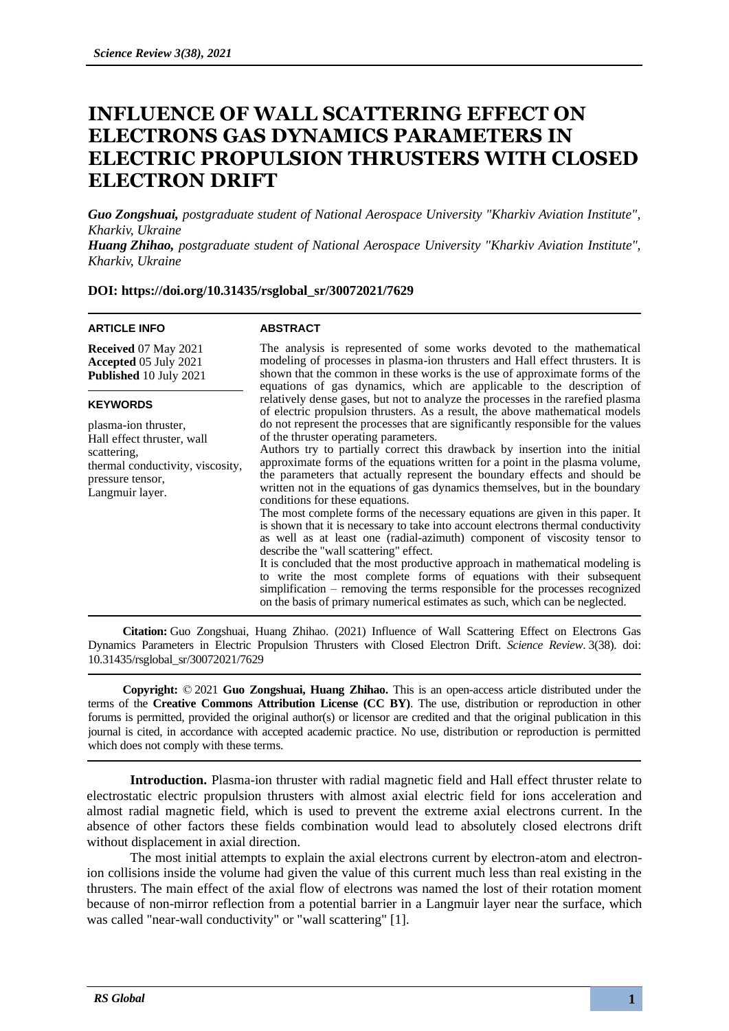# **INFLUENCE OF WALL SCATTERING EFFECT ON ELECTRONS GAS DYNAMICS PARAMETERS IN ELECTRIC PROPULSION THRUSTERS WITH CLOSED ELECTRON DRIFT**

*Guo Zongshuai, postgraduate student of National Aerospace University "Kharkiv Aviation Institute", Kharkiv, Ukraine*

*Huang Zhihao, postgraduate student of National Aerospace University "Kharkiv Aviation Institute", Kharkiv, Ukraine*

**DOI: https://doi.org/10.31435/rsglobal\_sr/30072021/7629**

## **ARTICLE INFO**

### **ABSTRACT**

**Received** 07 May 2021 **Accepted** 05 July 2021 **Published** 10 July 2021

#### **KEYWORDS**

plasma-ion thruster, Hall effect thruster, wall scattering, thermal conductivity, viscosity, pressure tensor, Langmuir layer.

The analysis is represented of some works devoted to the mathematical modeling of processes in plasma-ion thrusters and Hall effect thrusters. It is shown that the common in these works is the use of approximate forms of the equations of gas dynamics, which are applicable to the description of relatively dense gases, but not to analyze the processes in the rarefied plasma of electric propulsion thrusters. As a result, the above mathematical models do not represent the processes that are significantly responsible for the values of the thruster operating parameters.

Authors try to partially correct this drawback by insertion into the initial approximate forms of the equations written for a point in the plasma volume, the parameters that actually represent the boundary effects and should be written not in the equations of gas dynamics themselves, but in the boundary conditions for these equations.

The most complete forms of the necessary equations are given in this paper. It is shown that it is necessary to take into account electrons thermal conductivity as well as at least one (radial-azimuth) component of viscosity tensor to describe the "wall scattering" effect.

It is concluded that the most productive approach in mathematical modeling is to write the most complete forms of equations with their subsequent simplification – removing the terms responsible for the processes recognized on the basis of primary numerical estimates as such, which can be neglected.

**Citation:** Guo Zongshuai, Huang Zhihao. (2021) Influence of Wall Scattering Effect on Electrons Gas Dynamics Parameters in Electric Propulsion Thrusters with Closed Electron Drift. *Science Review*. 3(38). doi: 10.31435/rsglobal\_sr/30072021/7629

**Copyright:** © 2021 **Guo Zongshuai, Huang Zhihao.** This is an open-access article distributed under the terms of the **Creative Commons Attribution License (CC BY)**. The use, distribution or reproduction in other forums is permitted, provided the original author(s) or licensor are credited and that the original publication in this journal is cited, in accordance with accepted academic practice. No use, distribution or reproduction is permitted which does not comply with these terms.

**Introduction.** Plasma-ion thruster with radial magnetic field and Hall effect thruster relate to electrostatic electric propulsion thrusters with almost axial electric field for ions acceleration and almost radial magnetic field, which is used to prevent the extreme axial electrons current. In the absence of other factors these fields combination would lead to absolutely closed electrons drift without displacement in axial direction.

The most initial attempts to explain the axial electrons current by electron-atom and electronion collisions inside the volume had given the value of this current much less than real existing in the thrusters. The main effect of the axial flow of electrons was named the lost of their rotation moment because of non-mirror reflection from a potential barrier in a Langmuir layer near the surface, which was called "near-wall conductivity" or "wall scattering" [1].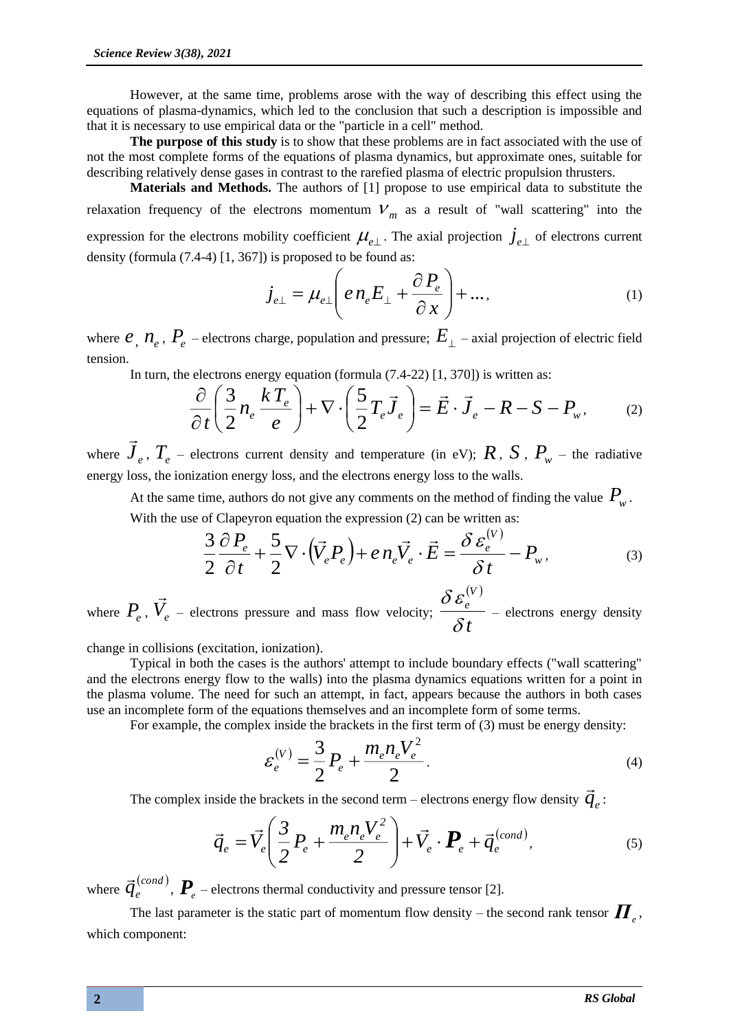However, at the same time, problems arose with the way of describing this effect using the equations of plasma-dynamics, which led to the conclusion that such a description is impossible and that it is necessary to use empirical data or the "particle in a cell" method.

**The purpose of this study** is to show that these problems are in fact associated with the use of not the most complete forms of the equations of plasma dynamics, but approximate ones, suitable for describing relatively dense gases in contrast to the rarefied plasma of electric propulsion thrusters.

**Materials and Methods.** The authors of [1] propose to use empirical data to substitute the relaxation frequency of the electrons momentum  $V_m$  as a result of "wall scattering" into the expression for the electrons mobility coefficient  $\mu_{e\perp}$ . The axial projection  $j_{e\perp}$  of electrons current density (formula (7.4-4) [1, 367]) is proposed to be found as:

$$
j_{e\perp} = \mu_{e\perp} \left( e n_e E_{\perp} + \frac{\partial P_e}{\partial x} \right) + \dots,
$$
 (1)

where  $e$ <sub>,</sub>  $n_e$ ,  $P_e$  – electrons charge, population and pressure;  $E_{\perp}$  – axial projection of electric field tension.

In turn, the electrons energy equation (formula (7.4-22) [1, 370]) is written as:

$$
\frac{\partial}{\partial t} \left( \frac{3}{2} n_e \frac{k T_e}{e} \right) + \nabla \cdot \left( \frac{5}{2} T_e \vec{J}_e \right) = \vec{E} \cdot \vec{J}_e - R - S - P_w, \tag{2}
$$

where  $\vec{J}_e$ ,  $T_e$  – electrons current density and temperature (in eV);  $R$ ,  $S$ ,  $P_w$  – the radiative energy loss, the ionization energy loss, and the electrons energy loss to the walls.

At the same time, authors do not give any comments on the method of finding the value  $P_{\scriptscriptstyle{w}}$ . With the use of Clapeyron equation the expression (2) can be written as:

$$
\frac{3}{2}\frac{\partial P_e}{\partial t} + \frac{5}{2}\nabla \cdot (\vec{V}_e P_e) + e n_e \vec{V}_e \cdot \vec{E} = \frac{\delta \varepsilon_e^{(V)}}{\delta t} - P_w,\tag{3}
$$

where  $P_e$ ,  $\vec{V}_e$  – electrons pressure and mass flow velocity;  $(V)$ *t e*  $\delta$  $\delta\varepsilon$ – electrons energy density

change in collisions (excitation, ionization).

Typical in both the cases is the authors' attempt to include boundary effects ("wall scattering" and the electrons energy flow to the walls) into the plasma dynamics equations written for a point in the plasma volume. The need for such an attempt, in fact, appears because the authors in both cases use an incomplete form of the equations themselves and an incomplete form of some terms.

For example, the complex inside the brackets in the first term of (3) must be energy density:

$$
\varepsilon_e^{(V)} = \frac{3}{2} P_e + \frac{m_e n_e V_e^2}{2}.
$$
\n(4)

*V*

The complex inside the brackets in the second term – electrons energy flow density  $\vec{q}_e$ :

$$
\vec{q}_e = \vec{V}_e \left( \frac{3}{2} P_e + \frac{m_e n_e V_e^2}{2} \right) + \vec{V}_e \cdot \boldsymbol{P}_e + \vec{q}_e^{(cond)}, \tag{5}
$$

where  $\vec{q}^{(cond)}_e$  $\vec{q}_e^{(cond)}$ ,  $\vec{P}_e$  – electrons thermal conductivity and pressure tensor [2].

The last parameter is the static part of momentum flow density – the second rank tensor *Π e* , which component: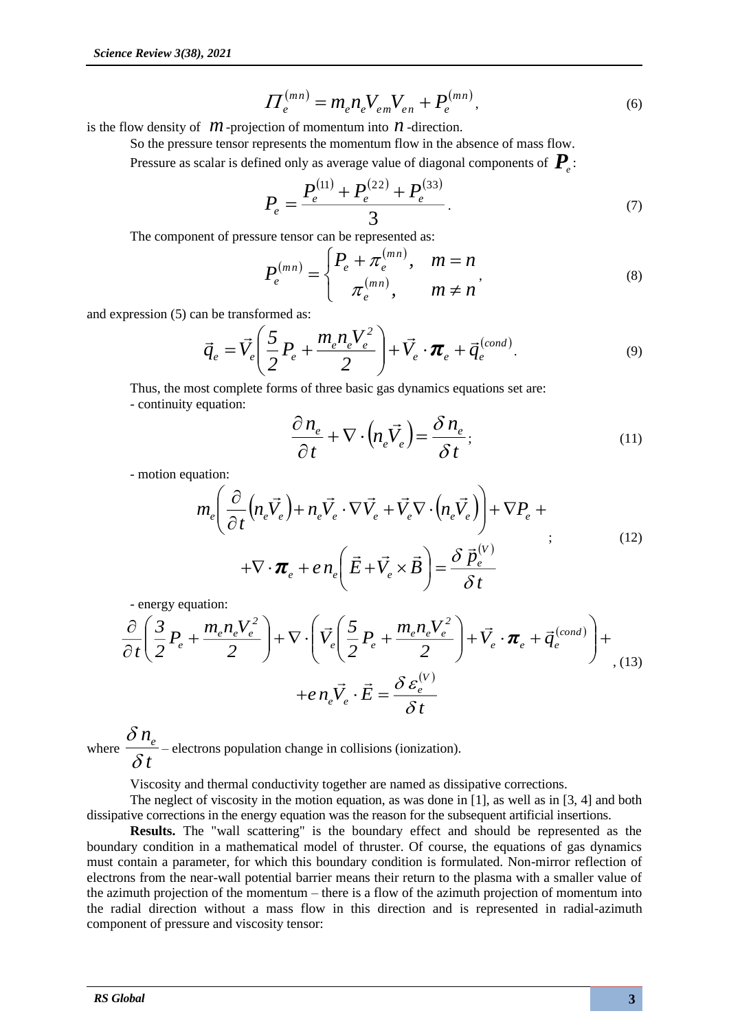$$
\Pi_e^{(mn)} = m_e n_e V_{em} V_{en} + P_e^{(mn)}, \tag{6}
$$

is the flow density of  $m$ -projection of momentum into  $n$ -direction.

So the pressure tensor represents the momentum flow in the absence of mass flow.

Pressure as scalar is defined only as average value of diagonal components of  $\textbf{\textit{P}}_{e}$  :

$$
P_e = \frac{P_e^{(11)} + P_e^{(22)} + P_e^{(33)}}{3}.
$$
\n(7)

The component of pressure tensor can be represented as:

$$
P_e^{(mn)} = \begin{cases} P_e + \pi_e^{(mn)}, & m = n \\ \pi_e^{(mn)}, & m \neq n \end{cases}
$$
 (8)

and expression (5) can be transformed as:

$$
\vec{q}_e = \vec{V}_e \left( \frac{5}{2} P_e + \frac{m_e n_e V_e^2}{2} \right) + \vec{V}_e \cdot \boldsymbol{\pi}_e + \vec{q}_e^{\text{(cond)}}.
$$
\n(9)

Thus, the most complete forms of three basic gas dynamics equations set are: - continuity equation:

$$
\frac{\partial n_e}{\partial t} + \nabla \cdot \left( n_e \vec{V}_e \right) = \frac{\delta n_e}{\delta t};\tag{11}
$$

- motion equation:

$$
m_e \left( \frac{\partial}{\partial t} \left( n_e \vec{V}_e \right) + n_e \vec{V}_e \cdot \nabla \vec{V}_e + \vec{V}_e \nabla \cdot \left( n_e \vec{V}_e \right) \right) + \nabla P_e +
$$
  
+ 
$$
\nabla \cdot \mathbf{\pi}_e + e n_e \left( \vec{E} + \vec{V}_e \times \vec{B} \right) = \frac{\delta \vec{p}_e^{(V)}}{\delta t}
$$
(12)

- energy equation:

$$
\frac{\partial}{\partial t} \left( \frac{3}{2} P_e + \frac{m_e n_e V_e^2}{2} \right) + \nabla \cdot \left( \vec{V}_e \left( \frac{5}{2} P_e + \frac{m_e n_e V_e^2}{2} \right) + \vec{V}_e \cdot \pi_e + \vec{q}_e^{\text{(cond)}} \right) + \left. \exp(\vec{V}_e \cdot \vec{E}) \right|_0^2 + \vec{E} \cdot \vec{E} = \frac{\partial \varepsilon_e^{\text{(V)}}}{\partial t}.
$$

where *t ne*  $\delta$  $\delta$ – electrons population change in collisions (ionization).

Viscosity and thermal conductivity together are named as dissipative corrections.

The neglect of viscosity in the motion equation, as was done in [1], as well as in [3, 4] and both dissipative corrections in the energy equation was the reason for the subsequent artificial insertions.

**Results.** The "wall scattering" is the boundary effect and should be represented as the boundary condition in a mathematical model of thruster. Of course, the equations of gas dynamics must contain a parameter, for which this boundary condition is formulated. Non-mirror reflection of electrons from the near-wall potential barrier means their return to the plasma with a smaller value of the azimuth projection of the momentum – there is a flow of the azimuth projection of momentum into the radial direction without a mass flow in this direction and is represented in radial-azimuth component of pressure and viscosity tensor: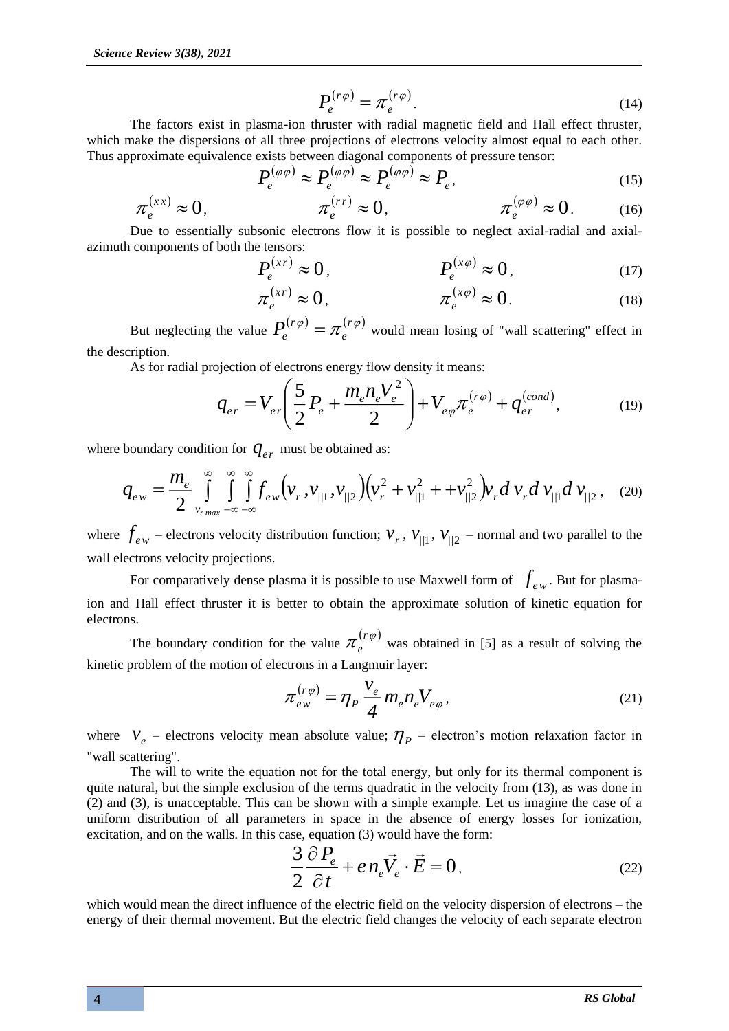$$
P_e^{(r\varphi)} = \pi_e^{(r\varphi)}.
$$
\n(14)

The factors exist in plasma-ion thruster with radial magnetic field and Hall effect thruster, which make the dispersions of all three projections of electrons velocity almost equal to each other. Thus approximate equivalence exists between diagonal components of pressure tensor:

$$
P_e^{(\varphi\varphi)} \approx P_e^{(\varphi\varphi)} \approx P_e^{(\varphi\varphi)} \approx P_e,\tag{15}
$$

$$
\pi_e^{(xx)} \approx 0, \qquad \pi_e^{(rr)} \approx 0, \qquad \pi_e^{(\varphi\varphi)} \approx 0. \qquad (16)
$$

Due to essentially subsonic electrons flow it is possible to neglect axial-radial and axialazimuth components of both the tensors:

$$
P_e^{(xr)} \approx 0, \qquad P_e^{(x\varphi)} \approx 0, \qquad (17)
$$

$$
\pi_e^{(xr)} \approx 0, \qquad \pi_e^{(x\varphi)} \approx 0. \qquad (18)
$$

But neglecting the value  $P_e^{(r\varphi)} = \pi_e^{(r\varphi)}$  $P_e^{(r\varphi)} = \pi_e^{(r\varphi)}$  would mean losing of "wall scattering" effect in the description.

As for radial projection of electrons energy flow density it means:

$$
q_{er} = V_{er} \left( \frac{5}{2} P_e + \frac{m_e n_e V_e^2}{2} \right) + V_{e\varphi} \pi_e^{(r\varphi)} + q_{er}^{(cond)}, \tag{19}
$$

where boundary condition for  $q_{er}$  must be obtained as:

$$
q_{ew} = \frac{m_e}{2} \int_{v_{rmax}}^{\infty} \int_{-\infty}^{\infty} \int_{-\infty}^{\infty} f_{ew}(v_r, v_{/1}, v_{/2}) (v_r^2 + v_{/1}^2 + v_{/2}^2) v_r dv_r dv_{/1} dv_{/12}, \quad (20)
$$

where  $f_{ew}$  – electrons velocity distribution function;  $v_r$ ,  $v_{/1}$ ,  $v_{/2}$  – normal and two parallel to the wall electrons velocity projections.

For comparatively dense plasma it is possible to use Maxwell form of  $f_{ew}$ . But for plasmaion and Hall effect thruster it is better to obtain the approximate solution of kinetic equation for electrons.

The boundary condition for the value  $\pi_s^{(r\varphi)}$  $e^{(\gamma \varphi)}$  was obtained in [5] as a result of solving the kinetic problem of the motion of electrons in a Langmuir layer:

$$
\pi_{ew}^{(r\varphi)} = \eta_P \frac{v_e}{4} m_e n_e V_{e\varphi},\tag{21}
$$

where  $V_e$  – electrons velocity mean absolute value;  $\eta_p$  – electron's motion relaxation factor in "wall scattering".

The will to write the equation not for the total energy, but only for its thermal component is quite natural, but the simple exclusion of the terms quadratic in the velocity from (13), as was done in (2) and (3), is unacceptable. This can be shown with a simple example. Let us imagine the case of a uniform distribution of all parameters in space in the absence of energy losses for ionization, excitation, and on the walls. In this case, equation (3) would have the form:

$$
\frac{3}{2}\frac{\partial P_e}{\partial t} + e n_e \vec{V}_e \cdot \vec{E} = 0, \qquad (22)
$$

which would mean the direct influence of the electric field on the velocity dispersion of electrons – the energy of their thermal movement. But the electric field changes the velocity of each separate electron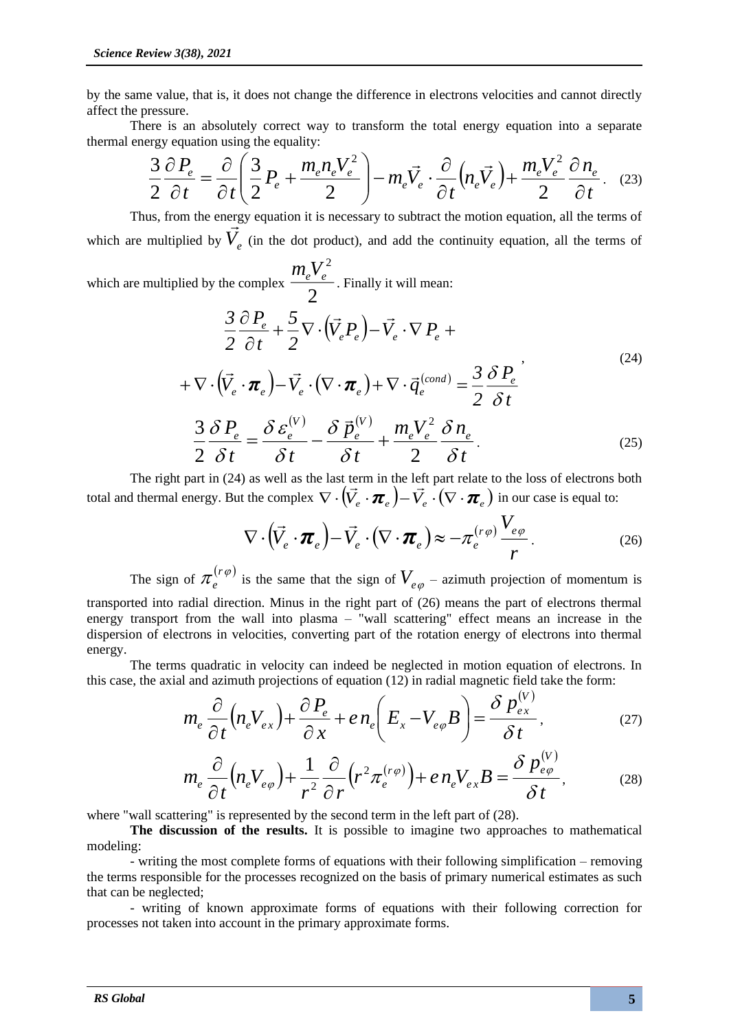by the same value, that is, it does not change the difference in electrons velocities and cannot directly affect the pressure.

There is an absolutely correct way to transform the total energy equation into a separate thermal energy equation using the equality:

$$
\frac{3}{2}\frac{\partial P_e}{\partial t} = \frac{\partial}{\partial t} \left( \frac{3}{2} P_e + \frac{m_e n_e V_e^2}{2} \right) - m_e \vec{V}_e \cdot \frac{\partial}{\partial t} \left( n_e \vec{V}_e \right) + \frac{m_e V_e^2}{2} \frac{\partial n_e}{\partial t}.
$$
 (23)

Thus, from the energy equation it is necessary to subtract the motion equation, all the terms of which are multiplied by  $\vec{V}_e$  (in the dot product), and add the continuity equation, all the terms of

which are multiplied by the complex 2  $m_eV_e^2$ . Finally it will mean:

$$
\frac{3}{2}\frac{\partial P_e}{\partial t} + \frac{5}{2}\nabla \cdot (\vec{V}_e P_e) - \vec{V}_e \cdot \nabla P_e +
$$
\n
$$
+ \nabla \cdot (\vec{V}_e \cdot \boldsymbol{\pi}_e) - \vec{V}_e \cdot (\nabla \cdot \boldsymbol{\pi}_e) + \nabla \cdot \vec{q}_e^{(cond)} = \frac{3}{2}\frac{\delta P_e}{\delta t}
$$
\n
$$
\frac{3}{2}\frac{\delta P_e}{\delta t} = \frac{\delta \varepsilon_e^{(V)}}{\delta t} - \frac{\delta \vec{P}_e^{(V)}}{\delta t} + \frac{m_e V_e^2}{2} \frac{\delta n_e}{\delta t}.
$$
\n(25)

The right part in (24) as well as the last term in the left part relate to the loss of electrons both total and thermal energy. But the complex  $\nabla \cdot (\vec{V}_e \cdot \vec{\pi}_e) - \vec{V}_e \cdot (\nabla \cdot \vec{\pi}_e)$  in our case is equal to:

$$
\nabla \cdot (\vec{V}_e \cdot \boldsymbol{\pi}_e) - \vec{V}_e \cdot (\nabla \cdot \boldsymbol{\pi}_e) \approx -\pi_e^{(r\varphi)} \frac{V_{e\varphi}}{r}.
$$
\n(26)

The sign of  $\pi_e^{(r\varphi)}$  $e^{i(\theta)}$  is the same that the sign of  $V_{e\varphi}$  – azimuth projection of momentum is transported into radial direction. Minus in the right part of (26) means the part of electrons thermal energy transport from the wall into plasma – "wall scattering" effect means an increase in the dispersion of electrons in velocities, converting part of the rotation energy of electrons into thermal energy.

The terms quadratic in velocity can indeed be neglected in motion equation of electrons. In this case, the axial and azimuth projections of equation (12) in radial magnetic field take the form:

$$
m_e \frac{\partial}{\partial t} \left( n_e V_{ex} \right) + \frac{\partial P_e}{\partial x} + e n_e \left( E_x - V_{e\varphi} B \right) = \frac{\delta p_{ex}^{(V)}}{\delta t}, \tag{27}
$$

$$
m_e \frac{\partial}{\partial t} \left( n_e V_{e\varphi} \right) + \frac{1}{r^2} \frac{\partial}{\partial r} \left( r^2 \pi_e^{(r\varphi)} \right) + e n_e V_{ex} B = \frac{\delta p_{e\varphi}^{(V)}}{\delta t},\tag{28}
$$

where "wall scattering" is represented by the second term in the left part of (28).

**The discussion of the results.** It is possible to imagine two approaches to mathematical modeling:

- writing the most complete forms of equations with their following simplification – removing the terms responsible for the processes recognized on the basis of primary numerical estimates as such that can be neglected;

- writing of known approximate forms of equations with their following correction for processes not taken into account in the primary approximate forms.